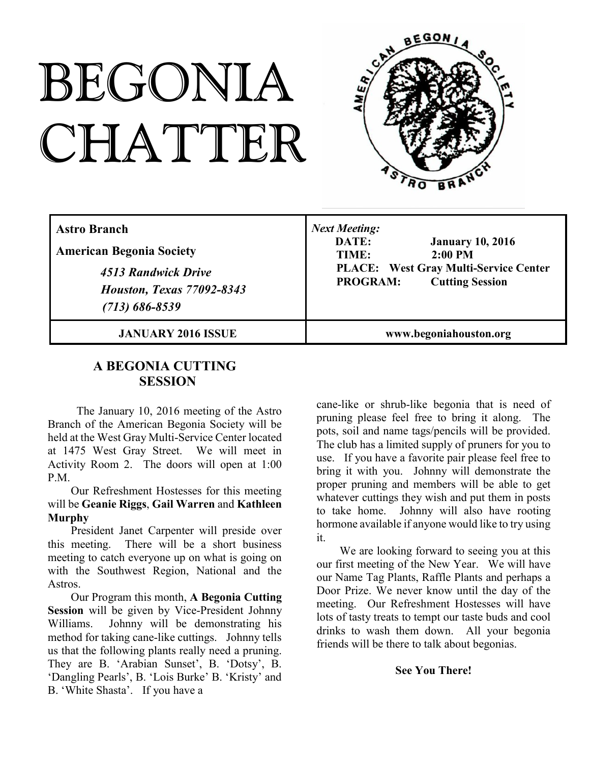# BEGONIA CHATTER



| <b>Astro Branch</b><br><b>American Begonia Society</b><br>4513 Randwick Drive<br><b>Houston, Texas 77092-8343</b><br>$(713) 686 - 8539$ | <b>Next Meeting:</b><br>DATE:<br><b>January 10, 2016</b><br>$2:00$ PM<br>TIME:<br><b>PLACE:</b> West Gray Multi-Service Center<br><b>PROGRAM:</b><br><b>Cutting Session</b> |
|-----------------------------------------------------------------------------------------------------------------------------------------|-----------------------------------------------------------------------------------------------------------------------------------------------------------------------------|
| <b>JANUARY 2016 ISSUE</b>                                                                                                               | www.begoniahouston.org                                                                                                                                                      |

# **A BEGONIA CUTTING SESSION**

The January 10, 2016 meeting of the Astro Branch of the American Begonia Society will be held at the West Gray Multi-Service Center located at 1475 West Gray Street. We will meet in Activity Room 2. The doors will open at 1:00 P.M.

## Our Refreshment Hostesses for this meeting will be **Geanie Riggs**, **Gail Warren** and **Kathleen Murphy**

President Janet Carpenter will preside over this meeting. There will be a short business meeting to catch everyone up on what is going on with the Southwest Region, National and the Astros.

Our Program this month, **A Begonia Cutting Session** will be given by Vice-President Johnny Williams. Johnny will be demonstrating his method for taking cane-like cuttings. Johnny tells us that the following plants really need a pruning. They are B. 'Arabian Sunset', B. 'Dotsy', B. 'Dangling Pearls', B. 'Lois Burke' B. 'Kristy' and B. 'White Shasta'. If you have a

cane-like or shrub-like begonia that is need of pruning please feel free to bring it along. The pots, soil and name tags/pencils will be provided. The club has a limited supply of pruners for you to use. If you have a favorite pair please feel free to bring it with you. Johnny will demonstrate the proper pruning and members will be able to get whatever cuttings they wish and put them in posts to take home. Johnny will also have rooting hormone available if anyone would like to try using it.

We are looking forward to seeing you at this our first meeting of the New Year. We will have our Name Tag Plants, Raffle Plants and perhaps a Door Prize. We never know until the day of the meeting. Our Refreshment Hostesses will have lots of tasty treats to tempt our taste buds and cool drinks to wash them down. All your begonia friends will be there to talk about begonias.

## **See You There!**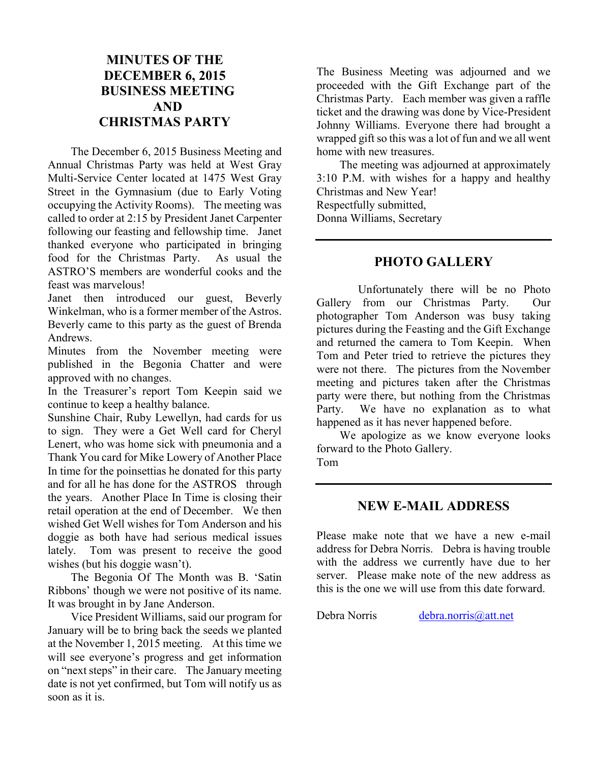# **MINUTES OF THE DECEMBER 6, 2015 BUSINESS MEETING AND CHRISTMAS PARTY**

The December 6, 2015 Business Meeting and Annual Christmas Party was held at West Gray Multi-Service Center located at 1475 West Gray Street in the Gymnasium (due to Early Voting occupying the Activity Rooms). The meeting was called to order at 2:15 by President Janet Carpenter following our feasting and fellowship time. Janet thanked everyone who participated in bringing food for the Christmas Party. As usual the ASTRO'S members are wonderful cooks and the feast was marvelous!

Janet then introduced our guest, Beverly Winkelman, who is a former member of the Astros. Beverly came to this party as the guest of Brenda Andrews.

Minutes from the November meeting were published in the Begonia Chatter and were approved with no changes.

In the Treasurer's report Tom Keepin said we continue to keep a healthy balance.

Sunshine Chair, Ruby Lewellyn, had cards for us to sign. They were a Get Well card for Cheryl Lenert, who was home sick with pneumonia and a Thank You card for Mike Lowery of Another Place In time for the poinsettias he donated for this party and for all he has done for the ASTROS through the years. Another Place In Time is closing their retail operation at the end of December. We then wished Get Well wishes for Tom Anderson and his doggie as both have had serious medical issues lately. Tom was present to receive the good wishes (but his doggie wasn't).

The Begonia Of The Month was B. 'Satin Ribbons' though we were not positive of its name. It was brought in by Jane Anderson.

Vice President Williams, said our program for January will be to bring back the seeds we planted at the November 1, 2015 meeting. At this time we will see everyone's progress and get information on "next steps" in their care. The January meeting date is not yet confirmed, but Tom will notify us as soon as it is.

The Business Meeting was adjourned and we proceeded with the Gift Exchange part of the Christmas Party. Each member was given a raffle ticket and the drawing was done by Vice-President Johnny Williams. Everyone there had brought a wrapped gift so this was a lot of fun and we all went home with new treasures.

The meeting was adjourned at approximately 3:10 P.M. with wishes for a happy and healthy Christmas and New Year! Respectfully submitted, Donna Williams, Secretary

## **PHOTO GALLERY**

Unfortunately there will be no Photo Gallery from our Christmas Party. Our photographer Tom Anderson was busy taking pictures during the Feasting and the Gift Exchange and returned the camera to Tom Keepin. When Tom and Peter tried to retrieve the pictures they were not there. The pictures from the November meeting and pictures taken after the Christmas party were there, but nothing from the Christmas Party. We have no explanation as to what happened as it has never happened before.

We apologize as we know everyone looks forward to the Photo Gallery. Tom

## **NEW E-MAIL ADDRESS**

Please make note that we have a new e-mail address for Debra Norris. Debra is having trouble with the address we currently have due to her server. Please make note of the new address as this is the one we will use from this date forward.

Debra Norris debra.norris@att.net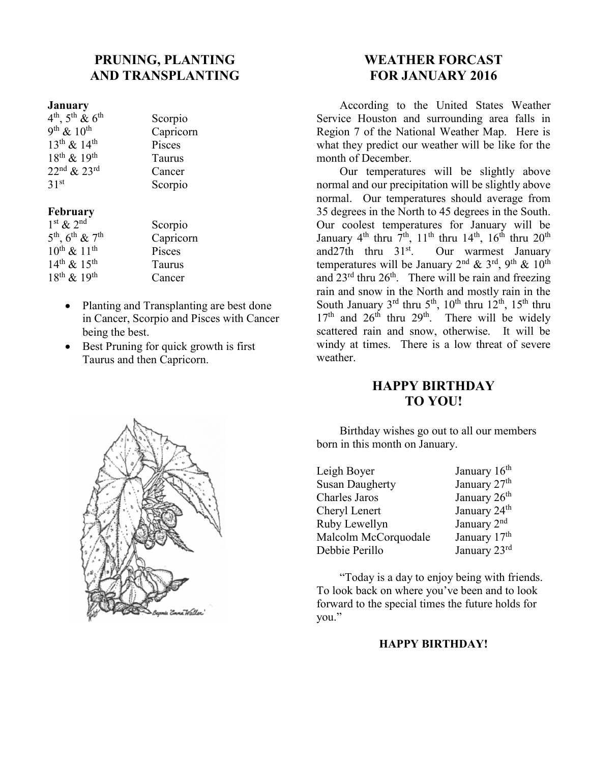# **PRUNING, PLANTING AND TRANSPLANTING**

#### **January**

| $4^{th}$ , $5^{th}$ & $6^{th}$ | Scorpio   |
|--------------------------------|-----------|
| 9 <sup>th</sup> & $10^{th}$    | Capricorn |
| $13^{th}$ & $14^{th}$          | Pisces    |
| $18^{th}$ & $19^{th}$          | Taurus    |
| $22nd$ & $23rd$                | Cancer    |
| 31 <sup>st</sup>               | Scorpio   |

## **February**

| $1st$ & $2nd$                  | Scorpio   |
|--------------------------------|-----------|
| $5^{th}$ , $6^{th}$ & $7^{th}$ | Capricorn |
| $10^{th}$ & $11^{th}$          | Pisces    |
| $14^{th}$ & $15^{th}$          | Taurus    |
| $18^{th}$ & $19^{th}$          | Cancer    |
|                                |           |

- Planting and Transplanting are best done in Cancer, Scorpio and Pisces with Cancer being the best.
- Best Pruning for quick growth is first Taurus and then Capricorn.



# **WEATHER FORCAST FOR JANUARY 2016**

According to the United States Weather Service Houston and surrounding area falls in Region 7 of the National Weather Map. Here is what they predict our weather will be like for the month of December.

Our temperatures will be slightly above normal and our precipitation will be slightly above normal. Our temperatures should average from 35 degrees in the North to 45 degrees in the South. Our coolest temperatures for January will be January  $4^{th}$  thru  $7^{th}$ ,  $11^{th}$  thru  $14^{th}$ ,  $16^{th}$  thru  $20^{th}$ <br>and  $27th$  thru  $31^{st}$ . Our warmest January Our warmest January temperatures will be January 2<sup>nd</sup> & 3<sup>rd</sup>, 9<sup>th</sup> & 10<sup>th</sup> and  $23^{\text{rd}}$  thru  $26^{\text{th}}$ . There will be rain and freezing rain and snow in the North and mostly rain in the South January  $3^{rd}$  thru  $5^{th}$ ,  $10^{th}$  thru  $12^{th}$ ,  $15^{th}$  thru  $17<sup>th</sup>$  and  $26<sup>th</sup>$  thru  $29<sup>th</sup>$ . There will be widely scattered rain and snow, otherwise. It will be windy at times. There is a low threat of severe weather.

# **HAPPY BIRTHDAY TO YOU!**

Birthday wishes go out to all our members born in this month on January.

| Leigh Boyer            | January 16 <sup>th</sup> |
|------------------------|--------------------------|
| <b>Susan Daugherty</b> | January 27 <sup>th</sup> |
| Charles Jaros          | January 26 <sup>th</sup> |
| Cheryl Lenert          | January 24 <sup>th</sup> |
| Ruby Lewellyn          | January 2 <sup>nd</sup>  |
| Malcolm McCorquodale   | January 17th             |
| Debbie Perillo         | January 23rd             |

"Today is a day to enjoy being with friends. To look back on where you've been and to look forward to the special times the future holds for you."

## **HAPPY BIRTHDAY!**